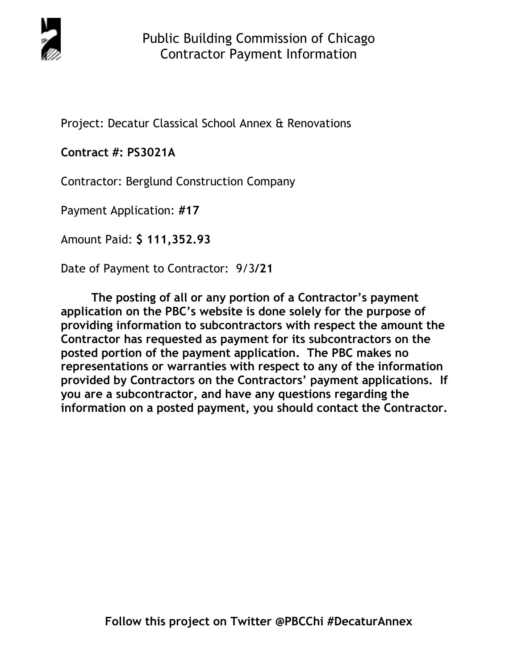

Project: Decatur Classical School Annex & Renovations

# **Contract #: PS3021A**

Contractor: Berglund Construction Company

Payment Application: **#17** 

Amount Paid: **\$ 111,352.93** 

Date of Payment to Contractor: 9/3**/21** 

**The posting of all or any portion of a Contractor's payment application on the PBC's website is done solely for the purpose of providing information to subcontractors with respect the amount the Contractor has requested as payment for its subcontractors on the posted portion of the payment application. The PBC makes no representations or warranties with respect to any of the information provided by Contractors on the Contractors' payment applications. If you are a subcontractor, and have any questions regarding the information on a posted payment, you should contact the Contractor.**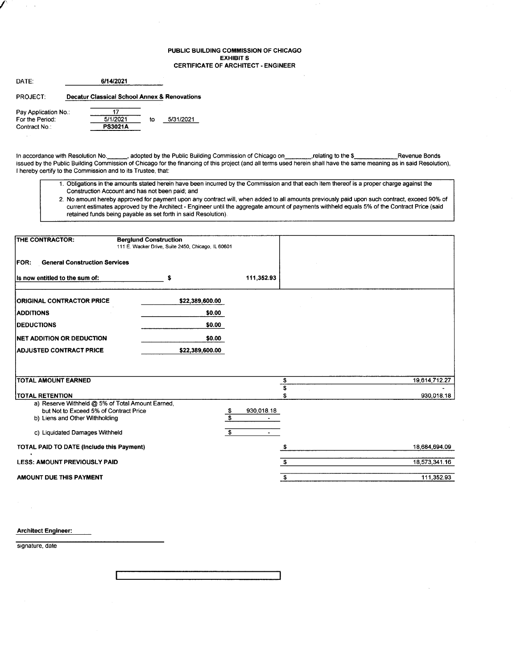#### PUBLIC BUILDING COMMISSION OF CHICAGO EXHIBIT S CERTIFICATE OF ARCHITECT - ENGINEER

| DATE:                                                   | 6/14/2021 |                                              |    |           |  |  |  |  |
|---------------------------------------------------------|-----------|----------------------------------------------|----|-----------|--|--|--|--|
| <b>PROJECT:</b>                                         |           | Decatur Classical School Annex & Renovations |    |           |  |  |  |  |
| Pay Application No.:<br>For the Period:<br>Contract No: |           | 5/1/2021<br><b>PS3021A</b>                   | tο | 5/31/2021 |  |  |  |  |

/'

 $\sim$ 

In accordance with Resolution No. \_\_\_\_\_, adopted by the Public Building Commission of Chicago on , relating to the \$\_\_\_\_\_\_\_\_\_\_\_\_\_\_\_\_ Revenue Bonds issued by the Public Building Commission of Chicago for the financing of this project (and all terms used herein shall have the same meaning as in said Resolution), I hereby certify to the Commission and to its Trustee, that:

- 1. Obligations in the amounts stated herein have been incurred by the Commission and that each item thereof is a proper charge against the Construction Account and has not been paid; and
- 2. No amount hereby approved for payment upon any contract will, when added to all amounts previously paid upon such contract, exceed 90% of current estimates approved by the Architect - Engineer until the aggregate amount of payments withheld equals 5% of the Contract Price (said retained funds being payable as set forth in said Resolution).

| THE CONTRACTOR:                                                          | <b>Berglund Construction</b><br>111 E. Wacker Drive, Suite 2450, Chicago, IL 60601 |                                             |               |
|--------------------------------------------------------------------------|------------------------------------------------------------------------------------|---------------------------------------------|---------------|
| <b>General Construction Services</b><br><b>IFOR:</b>                     |                                                                                    |                                             |               |
| Is now entitled to the sum of:                                           | s                                                                                  | 111,352.93                                  |               |
| <b>ORIGINAL CONTRACTOR PRICE</b>                                         | \$22,389,600.00                                                                    |                                             |               |
| <b>ADDITIONS</b>                                                         | \$0.00                                                                             |                                             |               |
| <b>DEDUCTIONS</b>                                                        | \$0.00                                                                             |                                             |               |
| <b>INET ADDITION OR DEDUCTION</b>                                        | \$0.00                                                                             |                                             |               |
| <b>ADJUSTED CONTRACT PRICE</b>                                           | \$22,389,600.00                                                                    |                                             |               |
|                                                                          |                                                                                    |                                             |               |
|                                                                          |                                                                                    |                                             |               |
| TOTAL AMOUNT EARNED                                                      |                                                                                    | \$<br>\$                                    | 19,614,712.27 |
| <b>TOTAL RETENTION</b>                                                   |                                                                                    |                                             | 930,018.18    |
| a) Reserve Withheld @ 5% of Total Amount Earned,                         |                                                                                    |                                             |               |
| but Not to Exceed 5% of Contract Price<br>b) Liens and Other Withholding |                                                                                    | \$<br>930,018.18<br>$\overline{\mathbf{s}}$ |               |
|                                                                          |                                                                                    |                                             |               |
| c) Liquidated Damages Withheld                                           |                                                                                    | \$<br>$\sim$                                |               |
| TOTAL PAID TO DATE (Include this Payment)<br>$\bullet$                   |                                                                                    |                                             | 18,684,694.09 |
| <b>LESS: AMOUNT PREVIOUSLY PAID</b>                                      |                                                                                    | s.                                          | 18,573,341.16 |
| AMOUNT DUE THIS PAYMENT                                                  |                                                                                    | £.                                          | 111,352.93    |

Architect Engineer:

signature, date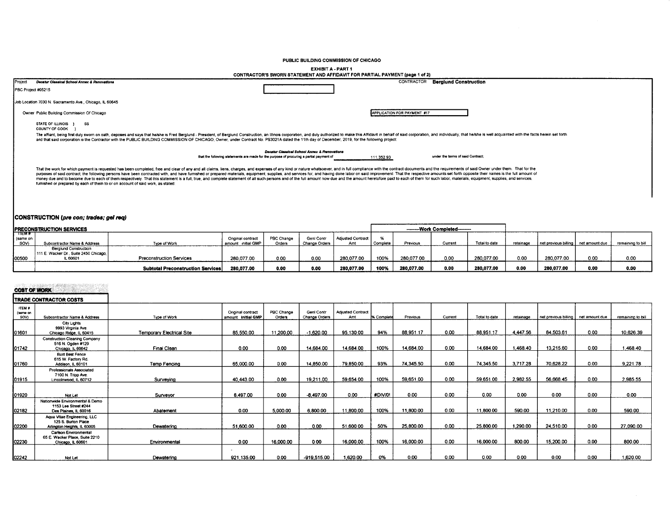PUBLIC BUILDING COMMISSION OF CHICAGO

#### **EXHIBIT A - PART 1**

|                    | CONTRACTOR'S SWORN STATEMENT AND AFFIDAVIT FOR PARTIAL PAYMENT (page 1 of 2)                                                                                                                                                                                                                                                                                                                                                                                                                                                                                                                                                                                                                                                                                                          |                                                                                                                                          |                             |                                   |  |  |  |  |  |  |
|--------------------|---------------------------------------------------------------------------------------------------------------------------------------------------------------------------------------------------------------------------------------------------------------------------------------------------------------------------------------------------------------------------------------------------------------------------------------------------------------------------------------------------------------------------------------------------------------------------------------------------------------------------------------------------------------------------------------------------------------------------------------------------------------------------------------|------------------------------------------------------------------------------------------------------------------------------------------|-----------------------------|-----------------------------------|--|--|--|--|--|--|
| Project            | Decatur Classical School Annex & Renovations                                                                                                                                                                                                                                                                                                                                                                                                                                                                                                                                                                                                                                                                                                                                          |                                                                                                                                          | CONTRACTOR                  | <b>Berglund Construction</b>      |  |  |  |  |  |  |
| PBC Project #05215 |                                                                                                                                                                                                                                                                                                                                                                                                                                                                                                                                                                                                                                                                                                                                                                                       |                                                                                                                                          |                             |                                   |  |  |  |  |  |  |
|                    | Job Location 7030 N. Sacramento Ave., Chicago, IL 60645                                                                                                                                                                                                                                                                                                                                                                                                                                                                                                                                                                                                                                                                                                                               |                                                                                                                                          |                             |                                   |  |  |  |  |  |  |
|                    | Owner Public Building Commission Of Chicago                                                                                                                                                                                                                                                                                                                                                                                                                                                                                                                                                                                                                                                                                                                                           |                                                                                                                                          | APPLICATION FOR PAYMENT #17 |                                   |  |  |  |  |  |  |
|                    | <b>STATE OF ILLINOIS</b><br>SS<br>COUNTY OF COOK                                                                                                                                                                                                                                                                                                                                                                                                                                                                                                                                                                                                                                                                                                                                      |                                                                                                                                          |                             |                                   |  |  |  |  |  |  |
|                    | The affiant, being first duly sworn on oath, deposes and says that hershe is Fred Berglund - President, of Berglund Construction, an Illinois corporation, and duly authorized to make this Affidavit in behalf of said corpor<br>and that said corporation is the Contractor with the PUBLIC BUILDING COMMISSION OF CHICAGO, Owner, under Contract No. PS3021A dated the 11th day of December, 2019, for the following project:                                                                                                                                                                                                                                                                                                                                                      |                                                                                                                                          |                             |                                   |  |  |  |  |  |  |
|                    |                                                                                                                                                                                                                                                                                                                                                                                                                                                                                                                                                                                                                                                                                                                                                                                       | Decatur Classical School Annex & Renovations<br>that the following statements are made for the purpose of procuring a partial payment of | 111,352.93                  | under the terms of said Contract: |  |  |  |  |  |  |
|                    | That the work for which payment is requested has been completed, free and clear of any and all claims, liens, charges, and expenses of any kind or nature whatsoever, and in full compliance with the contract documents and t<br>purposes of said contract, the following persons have been contracted with, and have furnished or prepared materials, equipment, supplies, and services for, and having done labor on said improvement. That the respective am<br>money due and to become due to each of them respectively. That this statement is a full, true, and complete statement of all such persons and of the full amount now due and the amount heretofore paid to each of them for su<br>furnished or prepared by each of them to or on account of said work, as stated: |                                                                                                                                          |                             |                                   |  |  |  |  |  |  |

## CONSTRUCTION (pre con; trades; gel req)

| <b>PRECONSTRUCTION SERVICES</b> |                                        |                                   |                     |            |               |                   | --------Work Completed-------- |            |        |               |           |                                       |      |                   |
|---------------------------------|----------------------------------------|-----------------------------------|---------------------|------------|---------------|-------------------|--------------------------------|------------|--------|---------------|-----------|---------------------------------------|------|-------------------|
| пем#                            |                                        |                                   |                     |            |               |                   |                                |            |        |               |           |                                       |      |                   |
| same on                         |                                        |                                   | Original contrac    | PBC Change | Genl Contr    | Adjusted Contract |                                |            |        |               |           |                                       |      |                   |
| SOV)                            | Subcontractor Name & Address           | Type of Work                      | amount: initial GMP | Orders     | Change Orders | Amt               | Complete                       | Previous   | Curren | Total to date | retainage | net previous billing   net amount due |      | remaining to bill |
|                                 | <b>Berglund Construction</b>           |                                   |                     |            |               |                   |                                |            |        |               |           |                                       |      |                   |
|                                 | 111 E. Wacker Dr., Suite 2450 Chicago, |                                   |                     |            |               |                   |                                |            |        |               |           |                                       |      |                   |
| 100500                          | .6060                                  | <b>Preconstruction Services</b>   | 280.077.00          | 0.00       | 0.00          | 280.077.00        | 100%                           | 280,077.00 | 0.00   | 280.077.00    | 0.00      | 280,077.00                            | 0.00 | 0.00              |
|                                 |                                        | Subtotal Preconstruction Services | 280.077.00          | 0.00       | 0.00          | 280,077.00        | 100%                           | 280,077.00 | 0.00   | 280.077.00    | 0.00      | 280.077.00                            | 0.00 | 0.00              |

# **COST OF WORK**

|                                          | TRADE CONTRACTOR COSTS                                                            |                           |                                          |                      |                                    |                                 |            |           |         |               |           |                                       |      |                   |
|------------------------------------------|-----------------------------------------------------------------------------------|---------------------------|------------------------------------------|----------------------|------------------------------------|---------------------------------|------------|-----------|---------|---------------|-----------|---------------------------------------|------|-------------------|
| <b>ITEM #</b><br>(same on<br><b>SOV)</b> | Subcontractor Name & Address                                                      | Type of Work              | Original contract<br>amount: Initial GMP | PBC Change<br>Orders | <b>Gent Contr</b><br>Change Orders | <b>Adiusted Contract</b><br>Amt | % Complete | Previous  | Current | Total to date | retainage | net orevious billing   net amount due |      | remaining to bill |
| 01601                                    | City Lights<br>9993 Virginia Ave.<br>Chicago Ridge, IL 60415                      | Temporary Electrical Site | 85,550.00                                | 11.200.00            | $-1.620.00$                        | 95.130.00                       | 94%        | 88.951.17 | 0.00    | 88.951.17     | 4.447.56  | 84.503.61                             | 0.00 | 10.626.39         |
| 01742                                    | Construction Cleaning Company<br>516 N. Ogden #129<br>Chicago, IL 60642           | Final Clean               | 0.00                                     | 0.00                 | 14,684.00                          | 14.684.00                       | 100%       | 14.684.00 | 0.00    | 14,684.00     | 1.468.40  | 13,215.60                             | 0.00 | 1,468.40          |
| 01760                                    | <b>Built Best Fence</b><br>615 W. Factory Rd.<br>Addison, IL 60101                | Temp Fencing              | 65,000.00                                | 0.00                 | 14.850.00                          | 79,850.00                       | 93%        | 74,345.50 | 0.00    | 74,345.50     | 3,717.28  | 70,628.22                             | 0.00 | 9,221.78          |
| 01915                                    | <b>Professionals Associated</b><br>7100 N. Tripp Ave.<br>Lincolnwood, IL 60712    | Surveying                 | 40,443.00                                | 0.00                 | 19,211.00                          | 59.654.00                       | 100%       | 59.651.00 | 0.00    | 59.651.00     | 2.982.55  | 56.668.45                             | 0.00 | 2.985.55          |
| 01920                                    | Not Let                                                                           | Surveyor                  | 8.497.00                                 | 0.00                 | $-8.497.00$                        | 0.00                            | #DIV/0!    | 0.00      | 0.00    | 0.00          | 0.00      | 0.00                                  | 0.00 | 0.00              |
| 02182                                    | Nationwide Environmental & Demo<br>1153 Lee Street #244<br>Des Plaines, IL 60016  | Abatement                 | 0.00                                     | 5,000.00             | 6,800.00                           | 11,800.00                       | 100%       | 11,800.00 | 0.00    | 11,800.00     | 590.00    | 11,210.00                             | 0.00 | 590.00            |
| 02200                                    | Aqua Vitae Engineering, LLC<br>125 S. Burton Place<br>Arlington Heights, IL 60005 | Dewatering                | 51,600.00                                | 0.00                 | 0.00                               | 51,600.00                       | 50%        | 25,800.00 | 0.00    | 25,800.00     | 1,290.00  | 24,510.00                             | 0.00 | 27,090.00         |
| 02230                                    | Carlson Environmental<br>65 E. Wacker Place, Suite 2210<br>Chicago, IL 60601      | Environmental             | 0.00                                     | 16,000.00            | 0.00                               | 16,000.00                       | 100%       | 16,000.00 | 0.00    | 16,000.00     | 800.00    | 15,200.00                             | 0.00 | 800.00            |
| 02242                                    | Not Let                                                                           | Dewatering                | 921,135.00                               | 0.00                 | $-919,515.00$                      | 1.620.00                        | 0%         | 0.00      | 0.00    | 0.00          | 0.00      | 0.00                                  | 0.00 | 1,620.00          |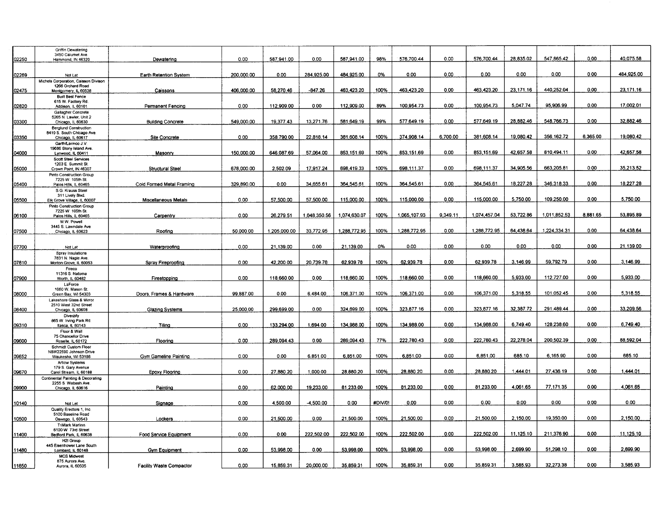|       | Griffin Dewatering                                         |                                 |            |              |              |              |         |              |          |              |           |              |          |            |
|-------|------------------------------------------------------------|---------------------------------|------------|--------------|--------------|--------------|---------|--------------|----------|--------------|-----------|--------------|----------|------------|
|       | 3450 Calumet Ave.                                          |                                 |            |              |              |              |         |              |          |              |           |              |          |            |
| 02250 | Hammond, IN 46320                                          | Dewatering                      | 0.00       | 587,941.00   | 0.00         | 587,941.00   | 98%     | 576,700.44   | 0.00     | 576,700.44   | 28,835.02 | 547,865.42   | 0.00     | 40,075.58  |
|       |                                                            |                                 |            |              |              |              |         |              |          |              |           |              |          |            |
| 02269 | Not Let                                                    | Earth Retention System          | 200,000.00 | 0.00         | 284,925.00   | 484,925.00   | 0%      | 0.00         | 0.00     | 0.00         | 0.00      | 0.00         | 0.00     | 484,925.00 |
|       | Michels Corporation, Caisson Divison                       |                                 |            |              |              |              |         |              |          |              |           |              |          |            |
|       | 1266 Orchard Road                                          |                                 |            |              |              |              |         |              |          |              |           |              |          |            |
| 02475 | Montgomery, IL 60538                                       | Caissons                        | 406,000.00 | 58,270.46    | $-847.26$    | 463,423.20   | 100%    | 463.423.20   | 0.00     | 463.423.20   | 23,171.16 | 440.252.04   | 0.00     | 23.171.16  |
|       | <b>Built Best Fence</b><br>615 W. Factory Rd               |                                 |            |              |              |              |         |              |          |              |           |              |          |            |
| 02820 | Addison, IL 60101                                          | Permanent Fencing               | 0.00       | 112,909.00   | 0.00         | 112,909.00   | 89%     | 100,954.73   | 0.00     | 100.954.73   | 5.047.74  | 95,906.99    | 0.00     | 17,002.01  |
|       | Gallagher Concrete                                         |                                 |            |              |              |              |         |              |          |              |           |              |          |            |
|       | 5265 N. Lawler, Unit 2                                     |                                 |            |              |              |              |         |              |          |              | 28.882.46 | 548.766.73   | 0.00     | 32.882.46  |
| 03300 | Chicago, IL 60630                                          | <b>Building Concrete</b>        | 549,000.00 | 19.377.43    | 13.271.76    | 581.649.19   | 99%     | 577,649.19   | 0.00     | 577,649.19   |           |              |          |            |
|       | <b>Berglund Construction</b><br>8410 S. South Chicago Ave. |                                 |            |              |              |              |         |              |          |              |           |              |          |            |
| 03350 | Chicago, IL 60617                                          | <b>Site Concrete</b>            | 0.00       | 358.790.00   | 22.818.14    | 381.608.14   | 100%    | 374,908.14   | 6.700.00 | 381.608.14   | 19,080.42 | 356 162.72   | 6,365.00 | 19.080.42  |
|       | Garth/Larmco J.V.                                          |                                 |            |              |              |              |         |              |          |              |           |              |          |            |
| 0000  | 19686 Stony Island Ave.                                    | Masonry                         | 150,000.00 | 646.087.69   | 57.064.00    | 853.151.69   | 100%    | 853.151.69   | 0.00     | 853,151.69   | 42.657.58 | 810.494.11   | 0.00     | 42.657.58  |
|       | Lynwood, IL 60411<br><b>Scott Steel Services</b>           |                                 |            |              |              |              |         |              |          |              |           |              |          |            |
|       | 1203 E. Summit St.                                         |                                 |            |              |              |              |         |              |          |              |           |              |          |            |
| 05000 | Crown Point, IN 46307                                      | <b>Structural Steel</b>         | 678.000.00 | 2.502.09     | 17.917.24    | 698.419.33   | 100%    | 698.111.37   | 0.00     | 698.111.37   | 34,905.56 | 663.205.81   | 0.00     | 35,213.52  |
|       | Pinto Construction Group                                   |                                 |            |              |              |              |         |              |          |              |           |              |          |            |
| 05400 | 7225 W. 105th St.<br>Palos Hills, IL 60465                 | Cold Formed Metal Framing       | 329,890.00 | 0.00         | 34,655.61    | 364.545.61   | 100%    | 364,545.61   | 0.00     | 364.545.61   | 18,227.28 | 346,318.33   | 0.00     | 18 227.28  |
|       | S.G. Krauss Steel                                          |                                 |            |              |              |              |         |              |          |              |           |              |          |            |
|       | 311 Lively Blvd.                                           |                                 |            |              |              |              |         |              |          |              |           |              |          |            |
| 05500 | Elk Grove Village, IL 60007                                | <b>Miscellaneous Metals</b>     | 0.00       | 57.500.00    | 57.500.00    | 115,000.00   | 100%    | 115,000.00   | 0.00     | 115,000.00   | 5,750.00  | 109,250.00   | 0.00     | 5,750.00   |
|       | Pinto Construction Group<br>7225 W. 105th St.              |                                 |            |              |              |              |         |              |          |              |           |              |          |            |
| 06100 | Palos Hills, IL 60465                                      | Carpentry                       | 0.00       | 26.279.51    | 1.048.350.56 | 1,074,630.07 | 100%    | 1.065.107.93 | 9.349.11 | 1.074.457.04 | 53.722.86 | 1.011.852.53 | 8.881.65 | 53 895.89  |
|       | M.W. Powell                                                |                                 |            |              |              |              |         |              |          |              |           |              |          |            |
|       | 3445 S. Lawndale Ave                                       |                                 |            |              |              |              |         |              | 0.00     | 1.288.772.95 | 64.438.64 | 1.224.334.31 | 0.00     | 64.438.64  |
| 07500 | Chicago, IL 60623                                          | Roofing                         | 50.000.00  | 1.205.000.00 | 33,772.95    | 1.288,772.95 | 100%    | 1.288.772.95 |          |              |           |              |          |            |
|       |                                                            |                                 |            |              |              |              |         |              |          |              |           |              |          |            |
| 07700 | Not Let                                                    | Waterproofing                   | 0.00       | 21,139.00    | 0.00         | 21,139.00    | 0%      | 0.00         | 0.00     | 0.00         | 0.00      | 0.00         | 0.00     | 21,139.00  |
|       | Spray Insulations                                          |                                 |            |              |              |              |         |              |          |              |           |              |          |            |
| 07810 | 7831 N. Nagle Ave                                          |                                 | 0.00       | 42.200.00    | 20,739.78    | 62.939.78    | 100%    | 62.939.78    | 0.00     | 62.939.78    | 3.146.99  | 59.792.79    | 0.00     | 3.146.99   |
|       | Morton Grove, IL 60053<br>Fireco                           | Spray Fireproofing              |            |              |              |              |         |              |          |              |           |              |          |            |
|       | 11316 S. Natoma                                            |                                 |            |              |              |              |         |              |          |              |           |              |          |            |
| 07900 | Worth, IL 60482                                            | Firestopping                    | 0.00       | 118,660.00   | 0.00         | 118,660.00   | 100%    | 118,660.00   | 0.00     | 118,660.00   | 5,933.00  | 112.727.00   | 0.00     | 5,933.00   |
|       | LaForce                                                    |                                 |            |              |              |              |         |              |          |              |           |              |          |            |
| 08000 | 1060 W. Mason St.<br>Green Bay, WI 54303                   | Doors, Frames & Hardware        | 99,887.00  | 0.00         | 6,484.00     | 106.371.00   | 100%    | 106,371.00   | 0.00     | 106,371.00   | 5.318.55  | 101.052.45   | 0.00     | 5,318.55   |
|       | Lakeshore Glass & Mirror                                   |                                 |            |              |              |              |         |              |          |              |           |              |          |            |
|       | 2510 West 32nd Street                                      |                                 |            |              |              |              |         |              |          |              |           |              |          |            |
| 08400 | Chicago, IL 60608                                          | <b>Glazing Systems</b>          | 25,000.00  | 299,699.00   | 0.00         | 324,699.00   | 100%    | 323,877.16   | 0.00     | 323,877.16   | 32.387.72 | 291.489.44   | 0.00     | 33,209.56  |
|       | Diverzify                                                  |                                 |            |              |              |              |         |              |          |              |           |              |          |            |
| 09310 | 865 W. Irving Park Rd.<br>Itasca, IL 60143                 | Tilina                          | 0.00       | 133,294.00   | 1.694.00     | 134,988.00   | 100%    | 134,988.00   | 0.00     | 134.988.00   | 6.749.40  | 128.238.60   | 0.00     | 6,749.40   |
|       | Floor & Wall                                               |                                 |            |              |              |              |         |              |          |              |           |              |          |            |
|       | 75 Chancellor Drive                                        |                                 |            |              |              |              |         |              |          |              |           |              |          |            |
| 09600 | Roselle, IL 60172                                          | Flooring                        | 0.00       | 289,094.43   | 0.00         | 289.094.43   | 77%     | 222,780.43   | 0.00     | 222,780.43   | 22,278.04 | 200,502.39   | 0.00     | 88,592.04  |
|       | Schmidt Custom Floor<br>N8W22590 Johnson Drive             |                                 |            |              |              |              |         |              |          |              |           |              |          |            |
| 09652 | Waukesha, WI 53186                                         | <b>Gym Gameline Painting</b>    | 0.00       | 0.00         | 6,851.00     | 6,851.00     | 100%    | 6,851.00     | 0.00     | 6,851.00     | 685.10    | 6,165.90     | 0.00     | 685.10     |
|       | <b>Artlow Systems</b>                                      |                                 |            |              |              |              |         |              |          |              |           |              |          |            |
| 09670 | 179 S. Gary Avenue<br>Carol Stream, IL 60188               | <b>Epoxy Flooring</b>           | 0.00       | 27,880.20    | 1,000.00     | 28,880.20    | 100%    | 28,880.20    | 0.00     | 28,880.20    | 1,444.01  | 27,436.19    | 0.00     | 1.444.01   |
|       | Continental Painting & Decorating                          |                                 |            |              |              |              |         |              |          |              |           |              |          |            |
|       | 2255 S. Wabash Ave.                                        |                                 |            |              |              |              |         |              |          |              |           |              |          |            |
| 09900 | Chicago, IL 60616                                          | Painting                        | 0.00       | 62,000.00    | 19,233.00    | 81 233 00    | 100%    | 81,233.00    | 0.00     | 81,233.00    | 4,061.65  | 77,171.35    | 0.00     | 4,061.65   |
|       |                                                            |                                 |            |              |              |              |         |              |          |              |           |              |          |            |
| 10140 | Not Let                                                    | Signage                         | 0.00       | 4,500.00     | -4,500.00    | 0.00         | #DIV/0! | 0.00         | 0.00     | 0.00         | 0.00      | 0.00         | 0.00     | 0.00       |
|       | Quality Erectors 1, Inc.                                   |                                 |            |              |              |              |         |              |          |              |           |              |          |            |
|       | 5100 Baseline Road                                         |                                 |            |              |              |              |         |              |          |              |           |              |          |            |
| 10500 | Oswego, IL 60543                                           | Lockers                         | 0.00       | 21,500.00    | 0.00         | 21,500.00    | 100%    | 21.500.00    | 0.00     | 21,500.00    | 2,150.00  | 19,350.00    | 0.00     | 2,150.00   |
|       | <b>TriMark Marlinn</b><br>6100 W. 73rd Street              |                                 |            |              |              |              |         |              |          |              |           |              |          |            |
| 11400 | Bedford Park, IL 60638                                     | Food Service Equipment          | 0.00       | 0.00         | 222,502.00   | 222,502.00   | 100%    | 222,502.00   | 0.00     | 222,502.00   | 11,125.10 | 211,376.90   | 0.00     | 11,125.10  |
|       | H2I Group                                                  |                                 |            |              |              |              |         |              |          |              |           |              |          |            |
|       | 445 Eisenhower Lane South                                  |                                 |            |              |              |              |         |              | 0.00     | 53,998.00    | 2,699.90  | 51,298.10    | 0.00     | 2,699.90   |
| 11480 | Lombard, IL 60148                                          | <b>Gym Equipment</b>            | 0.00       | 53,998.00    | 0.00         | 53,998.00    | 100%    | 53,998.00    |          |              |           |              |          |            |
|       | <b>MCS Midwest</b><br>875 Aurora Ave.                      |                                 |            |              |              |              |         |              |          |              |           |              |          |            |
| 11850 | Aurora, IL 60505                                           | <b>Facility Waste Compactor</b> | 0.00       | 15,859.31    | 20,000.00    | 35,859.31    | 100%    | 35,859.31    | 0.00     | 35,859.31    | 3,585.93  | 32,273.38    | 0.00     | 3,585.93   |